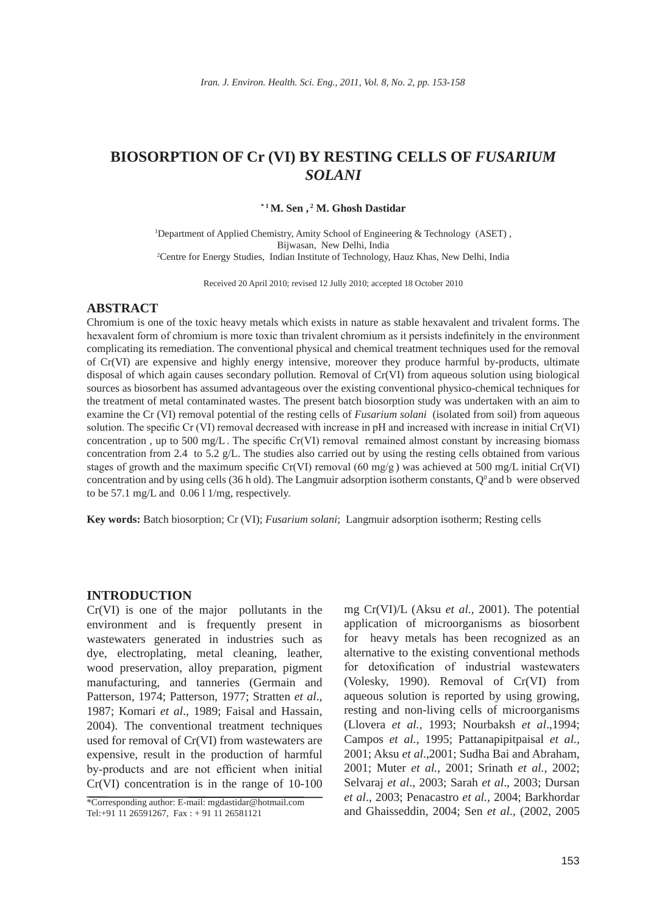# **BIOSORPTION OF Cr (VI) BY RESTING CELLS OF** *FUSARIUM SOLANI*

#### **\* 1 M. Sen , 2 M. Ghosh Dastidar**

<sup>1</sup>Department of Applied Chemistry, Amity School of Engineering & Technology (ASET), Bijwasan, New Delhi, India 2 Centre for Energy Studies, Indian Institute of Technology, Hauz Khas, New Delhi, India

Received 20 April 2010; revised 12 Jully 2010; accepted 18 October 2010

# **ABSTRACT**

Chromium is one of the toxic heavy metals which exists in nature as stable hexavalent and trivalent forms. The hexavalent form of chromium is more toxic than trivalent chromium as it persists indefinitely in the environment complicating its remediation. The conventional physical and chemical treatment techniques used for the removal of Cr(VI) are expensive and highly energy intensive, moreover they produce harmful by-products, ultimate disposal of which again causes secondary pollution. Removal of Cr(VI) from aqueous solution using biological sources as biosorbent has assumed advantageous over the existing conventional physico-chemical techniques for the treatment of metal contaminated wastes. The present batch biosorption study was undertaken with an aim to examine the Cr (VI) removal potential of the resting cells of *Fusarium solani* (isolated from soil) from aqueous solution. The specific Cr (VI) removal decreased with increase in pH and increased with increase in initial Cr(VI) concentration, up to 500 mg/L. The specific  $Cr(VI)$  removal remained almost constant by increasing biomass concentration from 2.4 to 5.2 g/L. The studies also carried out by using the resting cells obtained from various stages of growth and the maximum specific Cr(VI) removal (60 mg/g) was achieved at 500 mg/L initial Cr(VI) concentration and by using cells (36 h old). The Langmuir adsorption isotherm constants,  $Q^0$  and b were observed to be 57.1 mg/L and 0.06 l 1/mg, respectively.

**Key words:** Batch biosorption; Cr (VI); *Fusarium solani*; Langmuir adsorption isotherm; Resting cells

# **INTRODUCTION**

Cr(VI) is one of the major pollutants in the environment and is frequently present in wastewaters generated in industries such as dye, electroplating, metal cleaning, leather, wood preservation, alloy preparation, pigment manufacturing, and tanneries (Germain and Patterson, 1974; Patterson, 1977; Stratten *et al*., 1987; Komari *et al*., 1989; Faisal and Hassain, 2004). The conventional treatment techniques used for removal of Cr(VI) from wastewaters are expensive, result in the production of harmful by-products and are not efficient when initial Cr(VI) concentration is in the range of 10-100

mg Cr(VI)/L (Aksu *et al.*, 2001). The potential application of microorganisms as biosorbent for heavy metals has been recognized as an alternative to the existing conventional methods for detoxification of industrial wastewaters (Volesky, 1990). Removal of Cr(VI) from aqueous solution is reported by using growing, resting and non-living cells of microorganisms (Llovera *et al.,* 1993; Nourbaksh *et al*.,1994; Campos *et al.,* 1995; Pattanapipitpaisal *et al.,* 2001; Aksu *et al*.,2001; Sudha Bai and Abraham, 2001; Muter *et al.*, 2001; Srinath *et al.*, 2002; Selvaraj *et al*., 2003; Sarah *et al*., 2003; Dursan *et al*., 2003; Penacastro *et al.,* 2004; Barkhordar and Ghaisseddin, 2004; Sen *et al*., (2002, 2005

<sup>\*</sup>Corresponding author: E-mail: mgdastidar@hotmail.com Tel:+91 11 26591267, Fax : + 91 11 26581121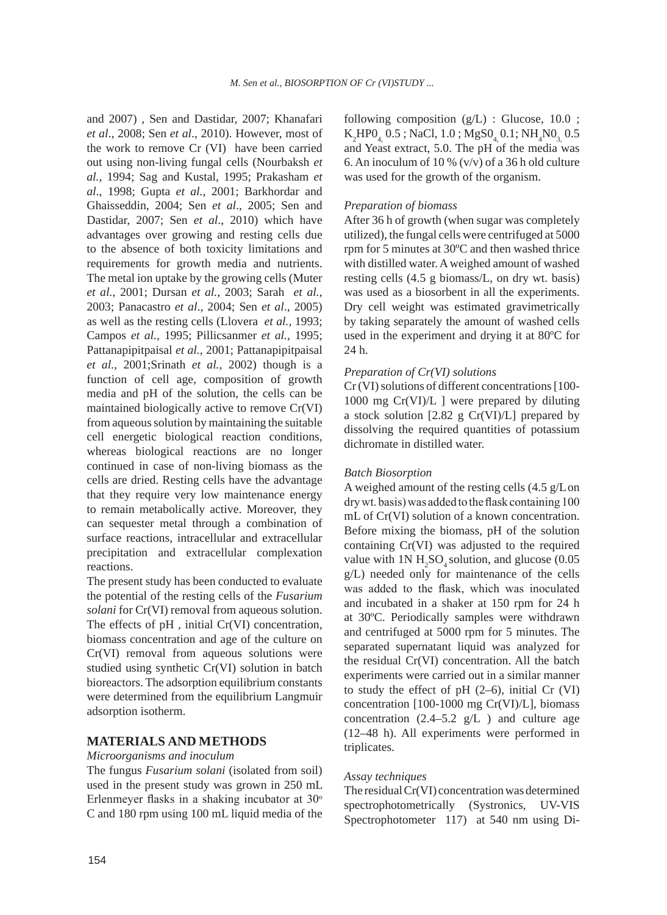and 2007) , Sen and Dastidar, 2007; Khanafari *et al*., 2008; Sen *et al*., 2010). However, most of the work to remove Cr (VI) have been carried out using non-living fungal cells (Nourbaksh *et al.*, 1994; Sag and Kustal, 1995; Prakasham *et al*., 1998; Gupta *et al.*, 2001; Barkhordar and Ghaisseddin, 2004; Sen *et al*., 2005; Sen and Dastidar, 2007; Sen *et al*., 2010) which have advantages over growing and resting cells due to the absence of both toxicity limitations and requirements for growth media and nutrients. The metal ion uptake by the growing cells (Muter *et al.*, 2001; Dursan *et al.*, 2003; Sarah *et al.*, 2003; Panacastro *et al*., 2004; Sen *et al*., 2005) as well as the resting cells (Llovera *et al.,* 1993; Campos *et al.,* 1995; Pillicsanmer *et al.,* 1995; Pattanapipitpaisal *et al.,* 2001; Pattanapipitpaisal *et al.,* 2001;Srinath *et al.*, 2002) though is a function of cell age, composition of growth media and pH of the solution, the cells can be maintained biologically active to remove Cr(VI) from aqueous solution by maintaining the suitable cell energetic biological reaction conditions, whereas biological reactions are no longer continued in case of non-living biomass as the cells are dried. Resting cells have the advantage that they require very low maintenance energy to remain metabolically active. Moreover, they can sequester metal through a combination of surface reactions, intracellular and extracellular precipitation and extracellular complexation reactions.

The present study has been conducted to evaluate the potential of the resting cells of the *Fusarium solani* for Cr(VI) removal from aqueous solution. The effects of pH , initial Cr(VI) concentration, biomass concentration and age of the culture on Cr(VI) removal from aqueous solutions were studied using synthetic Cr(VI) solution in batch bioreactors. The adsorption equilibrium constants were determined from the equilibrium Langmuir adsorption isotherm.

# **MATERIALS AND METHODS**

## *Microorganisms and inoculum*

The fungus *Fusarium solani* (isolated from soil) used in the present study was grown in 250 mL Erlenmeyer flasks in a shaking incubator at  $30^{\circ}$ C and 180 rpm using 100 mL liquid media of the following composition  $(g/L)$  : Glucose, 10.0;  $K_2{\text{HPO}_{4_1} \, 0.5}$ ; NaCl, 1.0;  ${\text{MgSO}_{4_1} \, 0.1}$ ; NH<sub>4</sub>NO<sub>3,</sub> 0.5 and Yeast extract, 5.0. The pH of the media was 6. An inoculum of 10 %  $(v/v)$  of a 36 h old culture was used for the growth of the organism.

## *preparation of biomass*

After 36 h of growth (when sugar was completely utilized), the fungal cells were centrifuged at 5000 rpm for 5 minutes at 30ºC and then washed thrice with distilled water. A weighed amount of washed resting cells (4.5 g biomass/L, on dry wt. basis) was used as a biosorbent in all the experiments. Dry cell weight was estimated gravimetrically by taking separately the amount of washed cells used in the experiment and drying it at 80ºC for 24 h.

## *preparation of cr(VI) solutions*

Cr (VI) solutions of different concentrations [100- 1000 mg Cr(VI)/L ] were prepared by diluting a stock solution [2.82 g Cr(VI)/L] prepared by dissolving the required quantities of potassium dichromate in distilled water.

## *batch biosorption*

A weighed amount of the resting cells (4.5 g/Lon dry wt. basis) was added to the flask containing 100 mL of Cr(VI) solution of a known concentration. Before mixing the biomass, pH of the solution containing Cr(VI) was adjusted to the required value with  $1N H_2SO_4$  solution, and glucose (0.05 g/L) needed only for maintenance of the cells was added to the flask, which was inoculated and incubated in a shaker at 150 rpm for 24 h at 30ºC. Periodically samples were withdrawn and centrifuged at 5000 rpm for 5 minutes. The separated supernatant liquid was analyzed for the residual Cr(VI) concentration. All the batch experiments were carried out in a similar manner to study the effect of pH (2–6), initial Cr (VI) concentration [100-1000 mg Cr(VI)/L], biomass concentration  $(2.4-5.2 \text{ g/L})$  and culture age (12–48 h). All experiments were performed in triplicates.

## *Assay techniques*

The residual Cr(VI) concentration was determined spectrophotometrically (Systronics, UV-VIS Spectrophotometer 117) at 540 nm using Di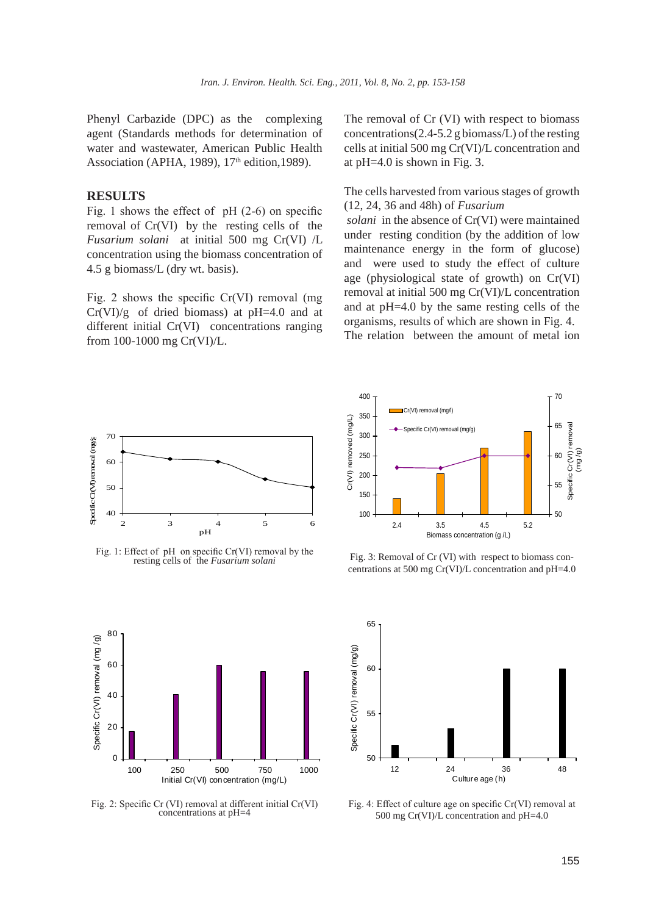Phenyl Carbazide (DPC) as the complexing agent (Standards methods for determination of water and wastewater, American Public Health Association (APHA, 1989), 17<sup>th</sup> edition, 1989).

## **RESULTS**

Fig. 1 shows the effect of  $pH$  (2-6) on specific removal of Cr(VI) by the resting cells of the *Fusarium solani* at initial 500 mg Cr(VI) /L concentration using the biomass concentration of 4.5 g biomass/L (dry wt. basis).

Fig. 2 shows the specific Cr(VI) removal (mg  $Cr(VI)/g$  of dried biomass) at pH=4.0 and at different initial Cr(VI) concentrations ranging from 100-1000 mg Cr(VI)/L.

The removal of Cr (VI) with respect to biomass concentrations(2.4-5.2 g biomass/L) of the resting cells at initial 500 mg Cr(VI)/L concentration and at pH=4.0 is shown in Fig. 3.

The cells harvested from various stages of growth (12, 24, 36 and 48h) of *Fusarium*

 *solani* in the absence of Cr(VI) were maintained under resting condition (by the addition of low maintenance energy in the form of glucose) and were used to study the effect of culture age (physiological state of growth) on Cr(VI) removal at initial 500 mg Cr(VI)/L concentration and at pH=4.0 by the same resting cells of the organisms, results of which are shown in Fig. 4. The relation between the amount of metal ion



Fig. 1: Effect of pH on specific Cr(VI) removal by the resting cells of the *Fusarium solani*



Fig. 2: Specific Cr (VI) removal at different initial Cr(VI) concentrations at pH=4



Fig. 3: Removal of Cr (VI) with respect to biomass concentrations at 500 mg Cr(VI)/L concentration and pH=4.0



Fig. 4: Effect of culture age on specific Cr(VI) removal at 500 mg Cr(VI)/L concentration and pH=4.0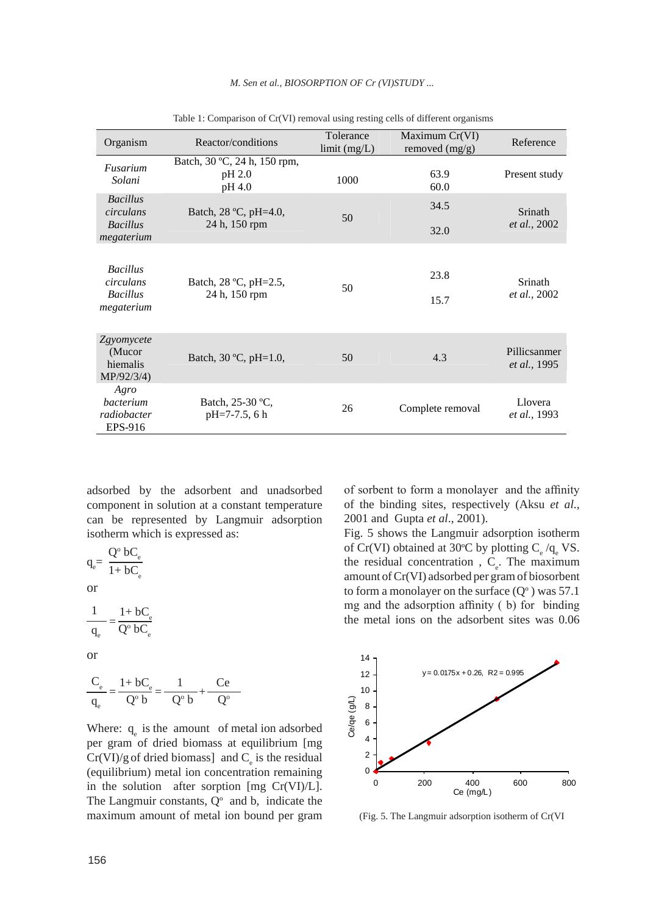| Organism                                                      | Reactor/conditions                               | Tolerance<br>limit (mg/L) | Maximum Cr(VI)<br>removed (mg/g) | Reference                            |
|---------------------------------------------------------------|--------------------------------------------------|---------------------------|----------------------------------|--------------------------------------|
| Fusarium<br>Solani                                            | Batch, 30 °C, 24 h, 150 rpm,<br>pH 2.0<br>pH 4.0 | 1000                      | 63.9<br>60.0                     | Present study                        |
| <b>Bacillus</b><br>circulans<br><b>Bacillus</b><br>megaterium | Batch, 28 °C, pH=4.0,<br>24 h, 150 rpm           | 50                        | 34.5<br>32.0                     | Srinath<br><i>et al.</i> , 2002      |
| <b>Bacillus</b><br>circulans<br><b>Bacillus</b><br>megaterium | Batch, 28 °C, pH=2.5,<br>24 h, 150 rpm           | 50                        | 23.8<br>15.7                     | Srinath<br><i>et al.</i> , 2002      |
| Zgyomycete<br>(Mucor<br>hiemalis<br>MP/92/3/4)                | Batch, 30 °C, pH=1.0,                            | 50                        | 4.3                              | Pillicsanmer<br><i>et al.</i> , 1995 |
| Agro<br>bacterium<br>radiobacter<br>EPS-916                   | Batch, 25-30 °C,<br>$pH=7-7.5, 6 h$              | 26                        | Complete removal                 | Llovera<br><i>et al.,</i> 1993       |

*M. Sen et al., bIoSorptIoN oF cr (VI)Study ...*

Table 1: Comparison of Cr(VI) removal using resting cells of different organisms

adsorbed by the adsorbent and unadsorbed component in solution at a constant temperature can be represented by Langmuir adsorption isotherm which is expressed as:

$$
q_e\!\!=\frac{Q^o\;bC_e}{1\!+bC_e}
$$

or

$$
\frac{1}{q_{\rm e}} = \frac{1 + bC_{\rm e}}{Q^{\rm o} bC_{\rm e}}
$$

or

$$
\frac{C_e}{q_e} = \frac{1 + bC_e}{Q^{\circ} b} = \frac{1}{Q^{\circ} b} + \frac{Ce}{Q^{\circ}}
$$

Where:  $q_e$  is the amount of metal ion adsorbed per gram of dried biomass at equilibrium [mg  $Cr(VI)/g$  of dried biomass] and  $C_e$  is the residual (equilibrium) metal ion concentration remaining in the solution after sorption [mg Cr(VI)/L]. The Langmuir constants,  $Q^{\circ}$  and b, indicate the maximum amount of metal ion bound per gram

of sorbent to form a monolayer and the affinity of the binding sites, respectively (Aksu *et al*., 2001 and Gupta *et al*., 2001).

Fig. 5 shows the Langmuir adsorption isotherm of Cr(VI) obtained at 30°C by plotting  $C_e / q_e$  VS. the residual concentration,  $C_e$ . The maximum amount of Cr(VI) adsorbed per gram of biosorbent to form a monolayer on the surface  $(Q<sup>o</sup>)$  was 57.1 mg and the adsorption affinity ( b) for binding the metal ions on the adsorbent sites was 0.06



(Fig. 5. The Langmuir adsorption isotherm of Cr(VI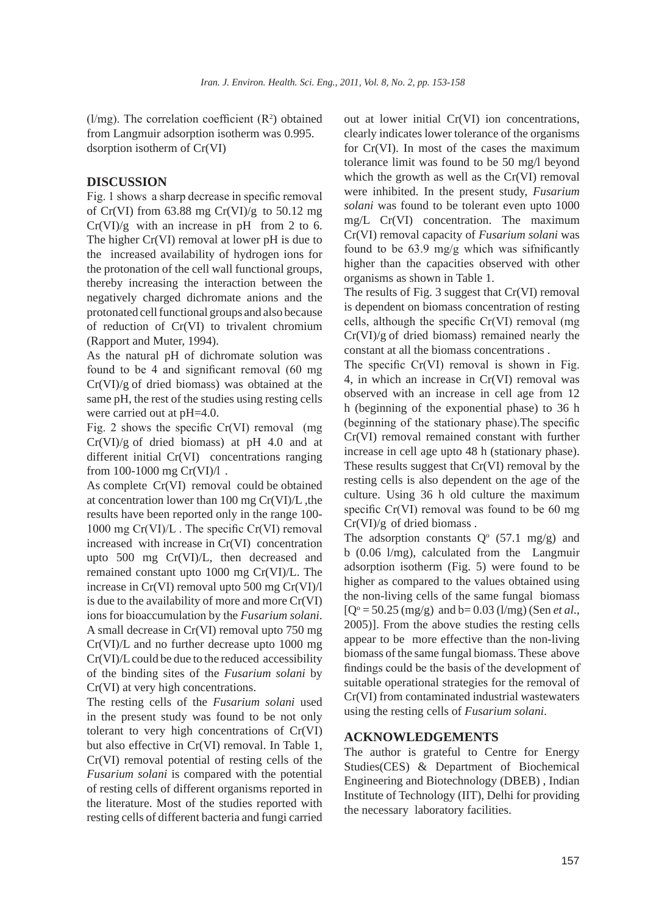$(l/mg)$ . The correlation coefficient  $(R<sup>2</sup>)$  obtained from Langmuir adsorption isotherm was 0.995. dsorption isotherm of Cr(VI)

# **DISCUSSION**

Fig. 1 shows a sharp decrease in specific removal of Cr(VI) from  $63.88$  mg Cr(VI)/g to  $50.12$  mg  $Cr(VI)/g$  with an increase in pH from 2 to 6. The higher Cr(VI) removal at lower pH is due to the increased availability of hydrogen ions for the protonation of the cell wall functional groups, thereby increasing the interaction between the negatively charged dichromate anions and the protonated cell functional groups and also because of reduction of Cr(VI) to trivalent chromium (Rapport and Muter, 1994).

As the natural pH of dichromate solution was found to be 4 and significant removal (60 mg  $Cr(VI)/g$  of dried biomass) was obtained at the same pH, the rest of the studies using resting cells were carried out at pH=4.0.

Fig. 2 shows the specific  $Cr(VI)$  removal (mg)  $Cr(VI)/g$  of dried biomass) at pH 4.0 and at different initial Cr(VI) concentrations ranging from 100-1000 mg  $Cr(VI)/I$ .

As complete Cr(VI) removal could be obtained at concentration lower than 100 mg Cr(VI)/L ,the results have been reported only in the range 100- 1000 mg Cr(VI)/L . The specific Cr(VI) removal increased with increase in Cr(VI) concentration upto 500 mg Cr(VI)/L, then decreased and remained constant upto 1000 mg Cr(VI)/L. The increase in Cr(VI) removal upto 500 mg Cr(VI)/l is due to the availability of more and more Cr(VI) ions for bioaccumulation by the *Fusarium solani*. A small decrease in Cr(VI) removal upto 750 mg Cr(VI)/L and no further decrease upto 1000 mg Cr(VI)/L could be due to the reduced accessibility of the binding sites of the *Fusarium solani* by Cr(VI) at very high concentrations.

The resting cells of the *Fusarium solani* used in the present study was found to be not only tolerant to very high concentrations of Cr(VI) but also effective in Cr(VI) removal. In Table 1, Cr(VI) removal potential of resting cells of the *Fusarium solani* is compared with the potential of resting cells of different organisms reported in the literature. Most of the studies reported with resting cells of different bacteria and fungi carried out at lower initial Cr(VI) ion concentrations, clearly indicates lower tolerance of the organisms for Cr(VI). In most of the cases the maximum tolerance limit was found to be 50 mg/l beyond which the growth as well as the Cr(VI) removal were inhibited. In the present study, *Fusarium solani* was found to be tolerant even upto 1000 mg/L Cr(VI) concentration. The maximum Cr(VI) removal capacity of *Fusarium solani* was found to be 63.9 mg/g which was sifnificantly higher than the capacities observed with other organisms as shown in Table 1.

The results of Fig. 3 suggest that Cr(VI) removal is dependent on biomass concentration of resting cells, although the specific Cr(VI) removal (mg Cr(VI)/g of dried biomass) remained nearly the constant at all the biomass concentrations .

The specific Cr(VI) removal is shown in Fig. 4, in which an increase in Cr(VI) removal was observed with an increase in cell age from 12 h (beginning of the exponential phase) to 36 h (beginning of the stationary phase).The specific Cr(VI) removal remained constant with further increase in cell age upto 48 h (stationary phase). These results suggest that Cr(VI) removal by the resting cells is also dependent on the age of the culture. Using 36 h old culture the maximum specific Cr(VI) removal was found to be 60 mg Cr(VI)/g of dried biomass .

The adsorption constants  $Q^{\circ}$  (57.1 mg/g) and b (0.06 l/mg), calculated from the Langmuir adsorption isotherm (Fig. 5) were found to be higher as compared to the values obtained using the non-living cells of the same fungal biomass  $[Q^{\circ} = 50.25 \text{ (mg/g)} \text{ and } b = 0.03 \text{ (l/mg)} \text{ (Sen } et al.,$ 2005)]. From the above studies the resting cells appear to be more effective than the non-living biomass of the same fungal biomass. These above findings could be the basis of the development of suitable operational strategies for the removal of Cr(VI) from contaminated industrial wastewaters using the resting cells of *Fusarium solani*.

# **ACKNOWLEDGEMENTS**

The author is grateful to Centre for Energy Studies(CES) & Department of Biochemical Engineering and Biotechnology (DBEB) , Indian Institute of Technology (IIT), Delhi for providing the necessary laboratory facilities.